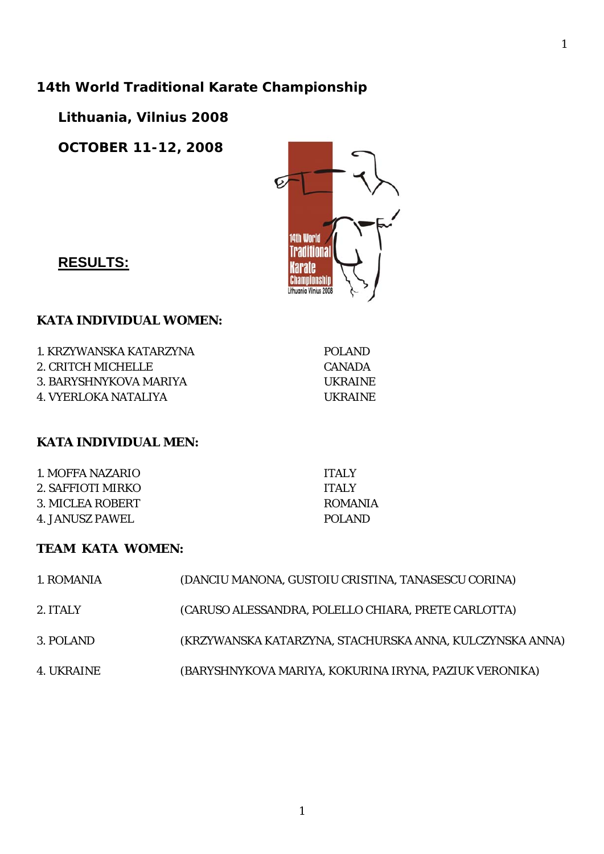# **14th World Traditional Karate Championship**

**Lithuania, Vilnius 2008** 

**OCTOBER 11-12, 2008** 



**RESULTS:**

#### **KATA INDIVIDUAL WOMEN:**

1. KRZYWANSKA KATARZYNA POLAND 2. CRITCH MICHELLE CANADA 3. BARYSHNYKOVA MARIYA UKRAINE 4. VYERLOKA NATALIYA UKRAINE

### **KATA INDIVIDUAL MEN:**

1. MOFFA NAZARIO ITALY 2. SAFFIOTI MIRKO ITALY 3. MICLEA ROBERT ROMANIA 4. JANUSZ PAWEL POLAND

### **TEAM KATA WOMEN:**

| 1. ROMANIA | (DANCIU MANONA, GUSTOIU CRISTINA, TANASESCU CORINA)      |
|------------|----------------------------------------------------------|
| 2. ITALY   | (CARUSO ALESSANDRA, POLELLO CHIARA, PRETE CARLOTTA)      |
| 3. POLAND  | (KRZYWANSKA KATARZYNA, STACHURSKA ANNA, KULCZYNSKA ANNA) |
| 4. UKRAINE | (BARYSHNYKOVA MARIYA, KOKURINA IRYNA, PAZIUK VERONIKA)   |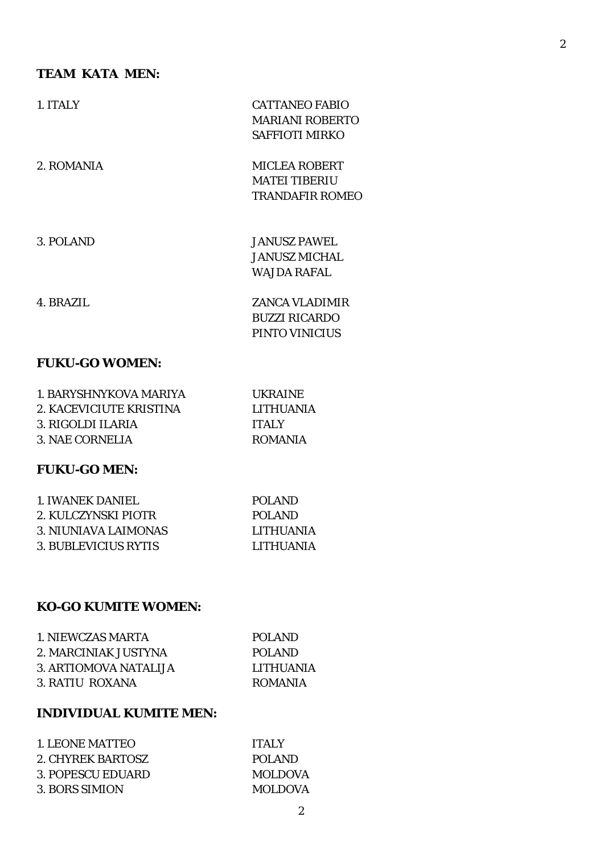### **TEAM KATA MEN:**

| 1. ITALY              | <b>CATTANEO FABIO</b>  |
|-----------------------|------------------------|
|                       | <b>MARIANI ROBERTO</b> |
|                       | <b>SAFFIOTI MIRKO</b>  |
| 2. ROMANIA            | <b>MICLEA ROBERT</b>   |
|                       | <b>MATEI TIBERIU</b>   |
|                       | <b>TRANDAFIR ROMEO</b> |
|                       |                        |
| 3. POLAND             | <b>JANUSZ PAWEL</b>    |
|                       | <b>JANUSZ MICHAL</b>   |
|                       | WAJDA RAFAL            |
| 4. BRAZIL             | <b>ZANCA VLADIMIR</b>  |
|                       | <b>BUZZI RICARDO</b>   |
|                       | PINTO VINICIUS         |
| <b>FUKU-GO WOMEN:</b> |                        |

| 1. BARYSHNYKOVA MARIYA  | UKRAINE.         |
|-------------------------|------------------|
| 2. KACEVICIUTE KRISTINA | <b>LITHUANIA</b> |
| 3. RIGOLDI ILARIA       | <b>TTALY</b>     |
| 3. NAE CORNELIA         | <b>ROMANIA</b>   |

## **FUKU-GO MEN:**

| 1. IWANEK DANIEL.    | POLAND           |
|----------------------|------------------|
| 2. KULCZYNSKI PIOTR  | POLAND           |
| 3. NIUNIAVA LAIMONAS | <b>LITHUANIA</b> |
| 3. BUBLEVICIUS RYTIS | LITHUANIA        |
|                      |                  |

### **KO-GO KUMITE WOMEN:**

| 1. NIEWCZAS MARTA     | POLAND           |
|-----------------------|------------------|
| 2. MARCINIAK JUSTYNA  | POLAND           |
| 3. ARTIOMOVA NATALLIA | <b>LITHUANIA</b> |
| 3. RATIU ROXANA       | <b>ROMANIA</b>   |

## **INDIVIDUAL KUMITE MEN:**

| 1. LEONE MATTEO   | <b>TTALY</b>   |
|-------------------|----------------|
| 2. CHYREK BARTOSZ | POLAND         |
| 3. POPESCU EDUARD | <b>MOLDOVA</b> |
| 3. BORS SIMION    | <b>MOLDOVA</b> |